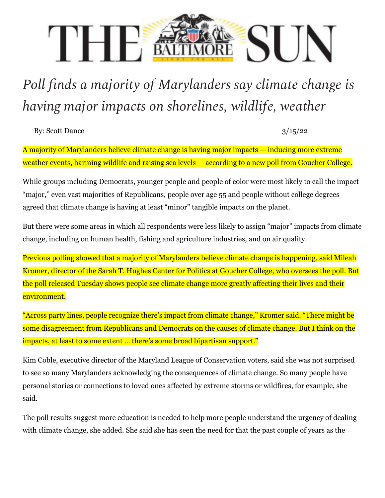## THE SUN

## *Poll finds a majority of Marylanders say climate change is having major impacts on shorelines, wildlife, weather*

By: Scott Dance  $3/15/22$ 

A majority of Marylanders believe climate change is having major impacts — inducing more extreme weather events, harming wildlife and raising sea levels — according to a new poll from Goucher College.

While groups including Democrats, younger people and people of color were most likely to call the impact "major," even vast majorities of Republicans, people over age 55 and people without college degrees agreed that climate change is having at least "minor" tangible impacts on the planet.

But there were some areas in which all respondents were less likely to assign "major" impacts from climate change, including on human health, fishing and agriculture industries, and on air quality.

Previous polling showed that a majority of Marylanders believe climate change is happening, said Mileah Kromer, director of the Sarah T. Hughes Center for Politics at Goucher College, who oversees the poll. But the poll released Tuesday shows people see climate change more greatly affecting their lives and their environment.

"Across party lines, people recognize there's impact from climate change," Kromer said. "There might be some disagreement from Republicans and Democrats on the causes of climate change. But I think on the impacts, at least to some extent … there's some broad bipartisan support."

Kim Coble, executive director of the Maryland League of Conservation voters, said she was not surprised to see so many Marylanders acknowledging the consequences of climate change. So many people have personal stories or connections to loved ones affected by extreme storms or wildfires, for example, she said.

The poll results suggest more education is needed to help more people understand the urgency of dealing with climate change, she added. She said she has seen the need for that the past couple of years as the